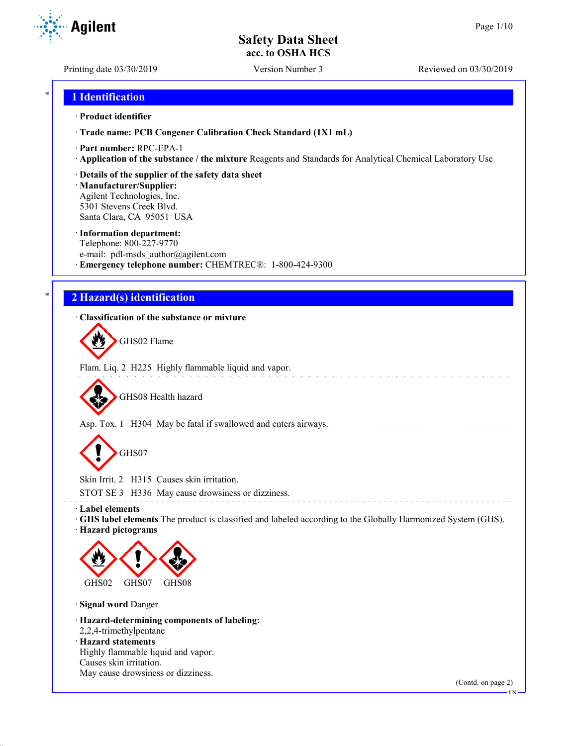Printing date 03/30/2019 Version Number 3 Reviewed on 03/30/2019

**Agilent** 

## \* **1 Identification**

### · **Product identifier**

· **Trade name: PCB Congener Calibration Check Standard (1X1 mL)**

· **Part number:** RPC-EPA-1

· **Application of the substance / the mixture** Reagents and Standards for Analytical Chemical Laboratory Use

### · **Details of the supplier of the safety data sheet**

· **Manufacturer/Supplier:** Agilent Technologies, Inc. 5301 Stevens Creek Blvd. Santa Clara, CA 95051 USA

### · **Information department:**

Telephone: 800-227-9770 e-mail: pdl-msds author@agilent.com · **Emergency telephone number:** CHEMTREC®: 1-800-424-9300

# \* **2 Hazard(s) identification**

### · **Classification of the substance or mixture**

GHS02 Flame

Flam. Liq. 2 H225 Highly flammable liquid and vapor.

GHS08 Health hazard

Asp. Tox. 1 H304 May be fatal if swallowed and enters airways.

GHS07

Skin Irrit. 2 H315 Causes skin irritation.

STOT SE 3 H336 May cause drowsiness or dizziness.

· **Label elements**

· **GHS label elements** The product is classified and labeled according to the Globally Harmonized System (GHS). · **Hazard pictograms**

\_\_\_\_\_\_\_\_\_\_\_\_\_\_\_\_\_\_\_\_\_\_\_\_\_\_\_\_\_\_\_



· **Signal word** Danger

· **Hazard-determining components of labeling:** 2,2,4-trimethylpentane · **Hazard statements**

Highly flammable liquid and vapor. Causes skin irritation. May cause drowsiness or dizziness.

(Contd. on page 2)

US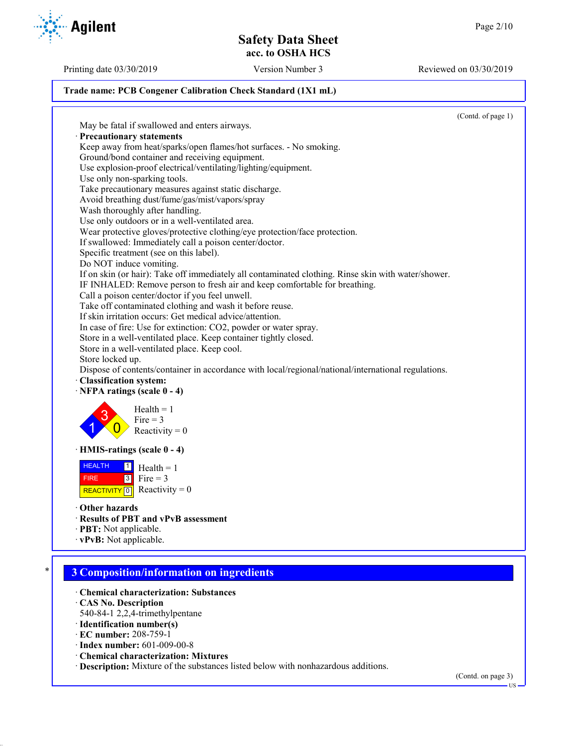Printing date 03/30/2019 Version Number 3 Reviewed on 03/30/2019

### **Trade name: PCB Congener Calibration Check Standard (1X1 mL)**

(Contd. of page 1) May be fatal if swallowed and enters airways. · **Precautionary statements** Keep away from heat/sparks/open flames/hot surfaces. - No smoking. Ground/bond container and receiving equipment. Use explosion-proof electrical/ventilating/lighting/equipment. Use only non-sparking tools. Take precautionary measures against static discharge. Avoid breathing dust/fume/gas/mist/vapors/spray Wash thoroughly after handling. Use only outdoors or in a well-ventilated area. Wear protective gloves/protective clothing/eye protection/face protection. If swallowed: Immediately call a poison center/doctor. Specific treatment (see on this label). Do NOT induce vomiting. If on skin (or hair): Take off immediately all contaminated clothing. Rinse skin with water/shower. IF INHALED: Remove person to fresh air and keep comfortable for breathing. Call a poison center/doctor if you feel unwell. Take off contaminated clothing and wash it before reuse. If skin irritation occurs: Get medical advice/attention. In case of fire: Use for extinction: CO2, powder or water spray. Store in a well-ventilated place. Keep container tightly closed. Store in a well-ventilated place. Keep cool. Store locked up. Dispose of contents/container in accordance with local/regional/national/international regulations. · **Classification system:** · **NFPA ratings (scale 0 - 4)** 1 3  $\overline{0}$  $Health = 1$ Fire  $= 3$ Reactivity  $= 0$ · **HMIS-ratings (scale 0 - 4)** HEALTH FIRE REACTIVITY  $\boxed{0}$  Reactivity = 0  $\frac{1}{\Box}$  Health = 1  $3$  Fire = 3 · **Other hazards** · **Results of PBT and vPvB assessment** · **PBT:** Not applicable. · **vPvB:** Not applicable. \* **3 Composition/information on ingredients** · **Chemical characterization: Substances** · **CAS No. Description** 540-84-1 2,2,4-trimethylpentane

- · **Identification number(s)**
- · **EC number:** 208-759-1
- · **Index number:** 601-009-00-8
- · **Chemical characterization: Mixtures**
- · **Description:** Mixture of the substances listed below with nonhazardous additions.

(Contd. on page 3)



**HS**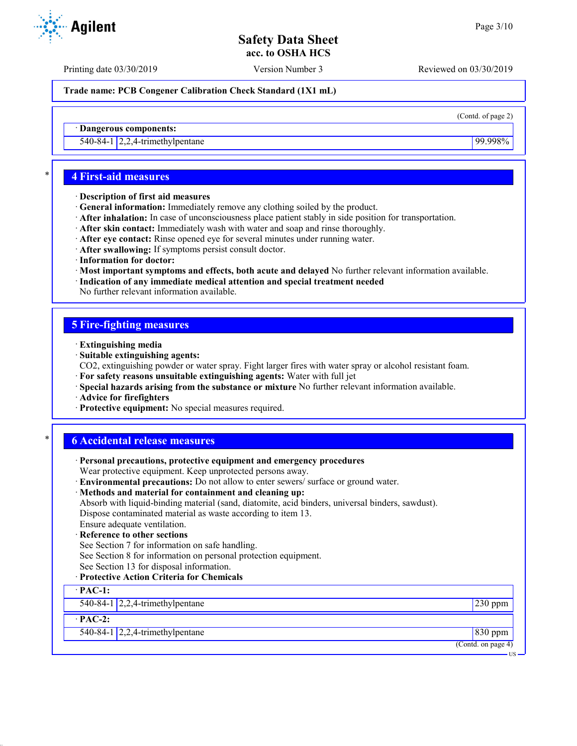Printing date 03/30/2019 Version Number 3 Reviewed on 03/30/2019

**Trade name: PCB Congener Calibration Check Standard (1X1 mL)**

(Contd. of page 2)

· **Dangerous components:**

540-84-1 2,2,4-trimethylpentane 99.998%

## \* **4 First-aid measures**

- · **Description of first aid measures**
- · **General information:** Immediately remove any clothing soiled by the product.
- · **After inhalation:** In case of unconsciousness place patient stably in side position for transportation.
- · **After skin contact:** Immediately wash with water and soap and rinse thoroughly.
- · **After eye contact:** Rinse opened eye for several minutes under running water.
- · **After swallowing:** If symptoms persist consult doctor.
- · **Information for doctor:**
- · **Most important symptoms and effects, both acute and delayed** No further relevant information available.
- · **Indication of any immediate medical attention and special treatment needed**
- No further relevant information available.

# **5 Fire-fighting measures**

- · **Extinguishing media**
- · **Suitable extinguishing agents:**
- CO2, extinguishing powder or water spray. Fight larger fires with water spray or alcohol resistant foam.
- · **For safety reasons unsuitable extinguishing agents:** Water with full jet
- · **Special hazards arising from the substance or mixture** No further relevant information available.
- · **Advice for firefighters**
- · **Protective equipment:** No special measures required.

## \* **6 Accidental release measures**

| · Personal precautions, protective equipment and emergency procedures                            |                    |
|--------------------------------------------------------------------------------------------------|--------------------|
| Wear protective equipment. Keep unprotected persons away.                                        |                    |
| · Environmental precautions: Do not allow to enter sewers/ surface or ground water.              |                    |
| · Methods and material for containment and cleaning up:                                          |                    |
| Absorb with liquid-binding material (sand, diatomite, acid binders, universal binders, sawdust). |                    |
| Dispose contaminated material as waste according to item 13.                                     |                    |
| Ensure adequate ventilation.                                                                     |                    |
| · Reference to other sections                                                                    |                    |
| See Section 7 for information on safe handling.                                                  |                    |
| See Section 8 for information on personal protection equipment.                                  |                    |
| See Section 13 for disposal information.                                                         |                    |
| · Protective Action Criteria for Chemicals                                                       |                    |
| $\cdot$ PAC-1:                                                                                   |                    |
| 540-84-1 $\left  2,2,4\right $ -trimethylpentane                                                 | $230$ ppm          |
| $\cdot$ PAC-2:                                                                                   |                    |
| 540-84-1 $\vert$ 2,2,4-trimethylpentane                                                          | 830 ppm            |
|                                                                                                  | (Contd. on page 4) |

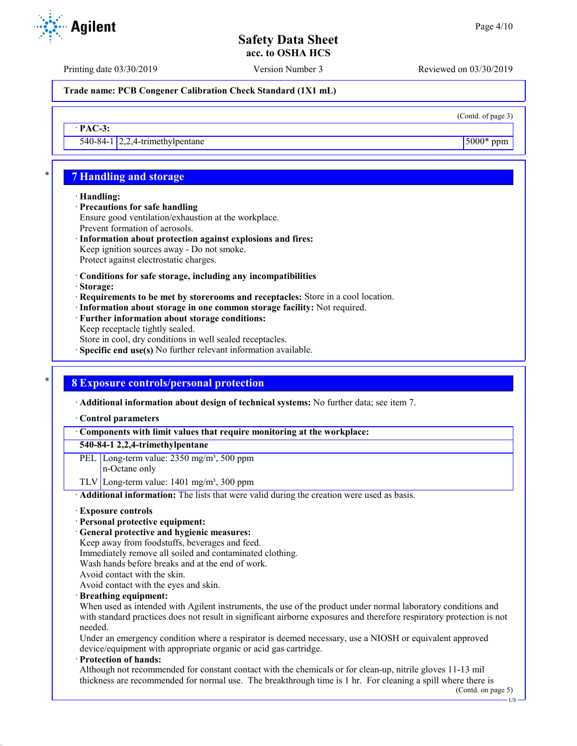Printing date 03/30/2019 Version Number 3 Reviewed on 03/30/2019

**Trade name: PCB Congener Calibration Check Standard (1X1 mL)**

(Contd. of page 3)

540-84-1 2,2,4-trimethylpentane 5000\* ppm

# \* **7 Handling and storage**

### · **Handling:**

· **PAC-3:**

- · **Precautions for safe handling**
- Ensure good ventilation/exhaustion at the workplace. Prevent formation of aerosols.
- · **Information about protection against explosions and fires:** Keep ignition sources away - Do not smoke. Protect against electrostatic charges.
- · **Conditions for safe storage, including any incompatibilities**
- · **Storage:**
- · **Requirements to be met by storerooms and receptacles:** Store in a cool location.
- · **Information about storage in one common storage facility:** Not required.
- · **Further information about storage conditions:** Keep receptacle tightly sealed. Store in cool, dry conditions in well sealed receptacles.
- · **Specific end use(s)** No further relevant information available.
- 

# \* **8 Exposure controls/personal protection**

· **Additional information about design of technical systems:** No further data; see item 7.

- · **Control parameters**
- · **Components with limit values that require monitoring at the workplace:**

### **540-84-1 2,2,4-trimethylpentane**

- PEL Long-term value: 2350 mg/m<sup>3</sup>, 500 ppm
	- n-Octane only
- TLV Long-term value:  $1401$  mg/m<sup>3</sup>, 300 ppm
- · **Additional information:** The lists that were valid during the creation were used as basis.
- · **Exposure controls**
- · **Personal protective equipment:**
- · **General protective and hygienic measures:**
- Keep away from foodstuffs, beverages and feed.
- Immediately remove all soiled and contaminated clothing.
- Wash hands before breaks and at the end of work.
- Avoid contact with the skin.
- Avoid contact with the eyes and skin.
- · **Breathing equipment:**
- When used as intended with Agilent instruments, the use of the product under normal laboratory conditions and with standard practices does not result in significant airborne exposures and therefore respiratory protection is not needed.

Under an emergency condition where a respirator is deemed necessary, use a NIOSH or equivalent approved device/equipment with appropriate organic or acid gas cartridge.

· **Protection of hands:**

Although not recommended for constant contact with the chemicals or for clean-up, nitrile gloves 11-13 mil thickness are recommended for normal use. The breakthrough time is 1 hr. For cleaning a spill where there is

(Contd. on page 5) US

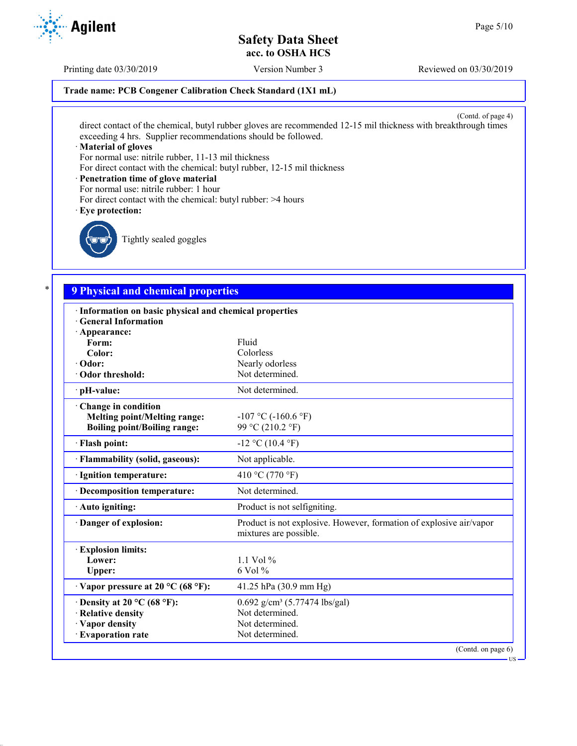US

# **Safety Data Sheet acc. to OSHA HCS**

Printing date 03/30/2019 Version Number 3 Reviewed on 03/30/2019

### **Trade name: PCB Congener Calibration Check Standard (1X1 mL)**

(Contd. of page 4) direct contact of the chemical, butyl rubber gloves are recommended 12-15 mil thickness with breakthrough times exceeding 4 hrs. Supplier recommendations should be followed.

### · **Material of gloves**

For normal use: nitrile rubber, 11-13 mil thickness

For direct contact with the chemical: butyl rubber, 12-15 mil thickness

### · **Penetration time of glove material**

- For normal use: nitrile rubber: 1 hour
- For direct contact with the chemical: butyl rubber: >4 hours

### · **Eye protection:**



Tightly sealed goggles

# \* **9 Physical and chemical properties**

| · Information on basic physical and chemical properties<br><b>General Information</b> |                                                                                               |
|---------------------------------------------------------------------------------------|-----------------------------------------------------------------------------------------------|
| · Appearance:                                                                         |                                                                                               |
| Form:                                                                                 | Fluid                                                                                         |
| Color:                                                                                | Colorless                                                                                     |
| · Odor:                                                                               | Nearly odorless                                                                               |
| Odor threshold:                                                                       | Not determined.                                                                               |
|                                                                                       |                                                                                               |
| · pH-value:                                                                           | Not determined.                                                                               |
| Change in condition                                                                   |                                                                                               |
| <b>Melting point/Melting range:</b>                                                   | $-107$ °C ( $-160.6$ °F)                                                                      |
| <b>Boiling point/Boiling range:</b>                                                   | 99 °C (210.2 °F)                                                                              |
| · Flash point:                                                                        | $-12$ °C (10.4 °F)                                                                            |
| · Flammability (solid, gaseous):                                                      | Not applicable.                                                                               |
| · Ignition temperature:                                                               | 410 °C (770 °F)                                                                               |
| · Decomposition temperature:                                                          | Not determined.                                                                               |
| $\cdot$ Auto igniting:                                                                | Product is not selfigniting.                                                                  |
| Danger of explosion:                                                                  | Product is not explosive. However, formation of explosive air/vapor<br>mixtures are possible. |
| <b>Explosion limits:</b>                                                              |                                                                                               |
| Lower:                                                                                | $1.1$ Vol %                                                                                   |
| Upper:                                                                                | $6$ Vol $\%$                                                                                  |
| $\cdot$ Vapor pressure at 20 °C (68 °F):                                              | 41.25 hPa $(30.9 \text{ mm Hg})$                                                              |
| $\cdot$ Density at 20 °C (68 °F):                                                     | $0.692$ g/cm <sup>3</sup> (5.77474 lbs/gal)                                                   |
| · Relative density                                                                    | Not determined.                                                                               |
| · Vapor density                                                                       | Not determined.                                                                               |
| · Evaporation rate                                                                    | Not determined.                                                                               |
|                                                                                       | (Contd. on page 6)                                                                            |

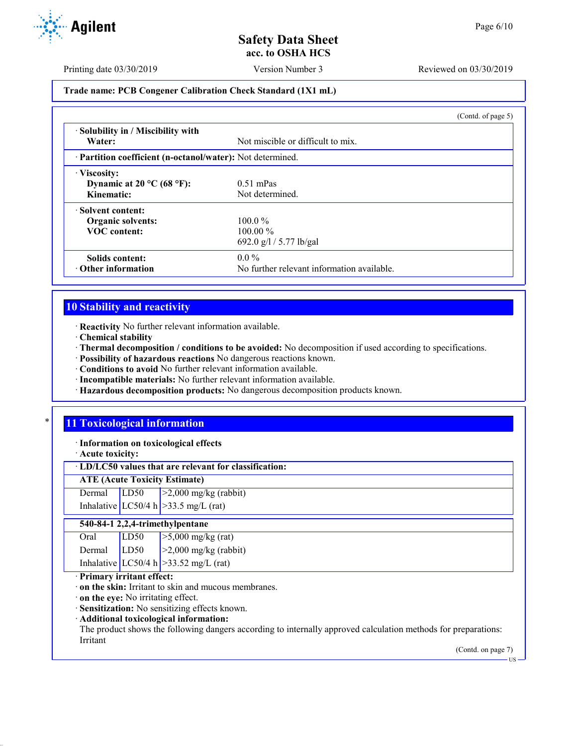**Agilent** 

Printing date 03/30/2019 Version Number 3 Reviewed on 03/30/2019

### **Trade name: PCB Congener Calibration Check Standard (1X1 mL)**

|                                                            |                                            | (Contd. of page 5) |
|------------------------------------------------------------|--------------------------------------------|--------------------|
| · Solubility in / Miscibility with<br>Water:               | Not miscible or difficult to mix.          |                    |
| · Partition coefficient (n-octanol/water): Not determined. |                                            |                    |
| · Viscosity:                                               |                                            |                    |
| Dynamic at $20^{\circ}$ C (68 °F):                         | $0.51$ mPas                                |                    |
| Kinematic:                                                 | Not determined.                            |                    |
| Solvent content:                                           |                                            |                    |
| <b>Organic solvents:</b>                                   | $100.0\%$                                  |                    |
| <b>VOC</b> content:                                        | $100.00\%$                                 |                    |
|                                                            | 692.0 g/l / 5.77 lb/gal                    |                    |
| Solids content:                                            | $0.0\%$                                    |                    |
| $\cdot$ Other information                                  | No further relevant information available. |                    |

# **10 Stability and reactivity**

· **Reactivity** No further relevant information available.

- · **Chemical stability**
- · **Thermal decomposition / conditions to be avoided:** No decomposition if used according to specifications.
- · **Possibility of hazardous reactions** No dangerous reactions known.
- · **Conditions to avoid** No further relevant information available.
- · **Incompatible materials:** No further relevant information available.
- · **Hazardous decomposition products:** No dangerous decomposition products known.

# **11 Toxicological information**

· **Information on toxicological effects**

· **Acute toxicity:**

## · **LD/LC50 values that are relevant for classification:**

**ATE (Acute Toxicity Estimate)**

Dermal LD50 >2,000 mg/kg (rabbit)

Inhalative  $LC50/4$  h  $>33.5$  mg/L (rat)

### **540-84-1 2,2,4-trimethylpentane**

| Oral   | LD <sub>50</sub> | $\sqrt{>5,000}$ mg/kg (rat)             |
|--------|------------------|-----------------------------------------|
| Dermal | LD50             | $\geq$ 2,000 mg/kg (rabbit)             |
|        |                  | Inhalative LC50/4 h $>33.52$ mg/L (rat) |

· **Primary irritant effect:**

· **on the skin:** Irritant to skin and mucous membranes.

· **on the eye:** No irritating effect.

· **Sensitization:** No sensitizing effects known.

· **Additional toxicological information:**

The product shows the following dangers according to internally approved calculation methods for preparations: Irritant

(Contd. on page 7)

US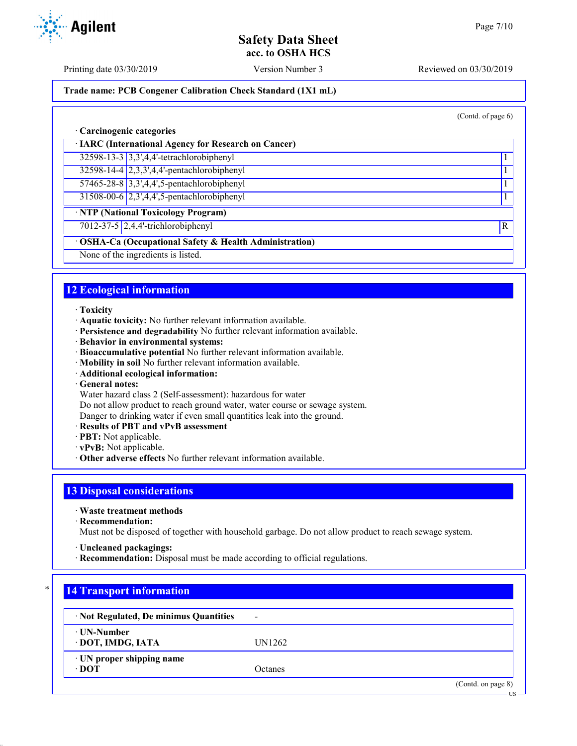Printing date 03/30/2019 Version Number 3 Reviewed on 03/30/2019

## **Trade name: PCB Congener Calibration Check Standard (1X1 mL)**

(Contd. of page 6)

US

### · **Carcinogenic categories**

· **IARC (International Agency for Research on Cancer)**

32598-13-3 3,3',4,4'-tetrachlorobiphenyl 1

32598-14-4 2,3,3',4,4'-pentachlorobiphenyl 1

57465-28-8 3,3',4,4',5-pentachlorobiphenyl 1

31508-00-6 2,3',4,4',5-pentachlorobiphenyl 1

· **NTP (National Toxicology Program)**

7012-37-5 2,4,4'-trichlorobiphenyl R

# · **OSHA-Ca (Occupational Safety & Health Administration)**

None of the ingredients is listed.

# **12 Ecological information**

- · **Toxicity**
- · **Aquatic toxicity:** No further relevant information available.
- · **Persistence and degradability** No further relevant information available.
- · **Behavior in environmental systems:**
- · **Bioaccumulative potential** No further relevant information available.
- · **Mobility in soil** No further relevant information available.
- · **Additional ecological information:**
- · **General notes:**
- Water hazard class 2 (Self-assessment): hazardous for water

Do not allow product to reach ground water, water course or sewage system.

Danger to drinking water if even small quantities leak into the ground.

- · **Results of PBT and vPvB assessment**
- · **PBT:** Not applicable.
- · **vPvB:** Not applicable.
- · **Other adverse effects** No further relevant information available.

# **13 Disposal considerations**

- · **Waste treatment methods**
- · **Recommendation:**

Must not be disposed of together with household garbage. Do not allow product to reach sewage system.

- · **Uncleaned packagings:**
- · **Recommendation:** Disposal must be made according to official regulations.

# **14 Transport information**

| · Not Regulated, De minimus Quantities   | $\overline{\phantom{a}}$ |                    |
|------------------------------------------|--------------------------|--------------------|
| ⋅ UN-Number<br>· DOT, IMDG, IATA         | UN1262                   |                    |
| · UN proper shipping name<br>$\cdot$ DOT | Octanes                  |                    |
|                                          |                          | (Contd. on page 8) |

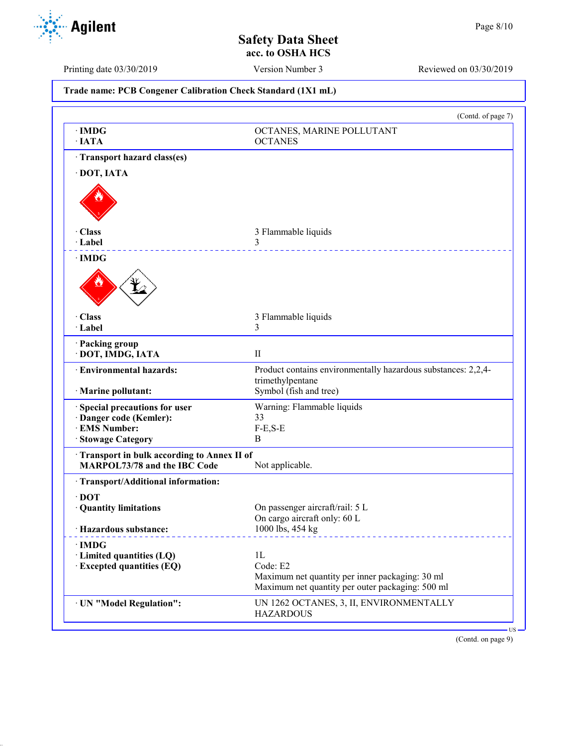

٦

Printing date 03/30/2019 Version Number 3 Reviewed on 03/30/2019

| Trade name: PCB Congener Calibration Check Standard (1X1 mL)                                        |                                                                                                                       |  |
|-----------------------------------------------------------------------------------------------------|-----------------------------------------------------------------------------------------------------------------------|--|
|                                                                                                     | (Contd. of page 7)                                                                                                    |  |
| $\cdot$ IMDG<br>$\cdot$ IATA                                                                        | OCTANES, MARINE POLLUTANT<br><b>OCTANES</b>                                                                           |  |
| · Transport hazard class(es)<br>· DOT, IATA                                                         |                                                                                                                       |  |
| · Class<br>· Label                                                                                  | 3 Flammable liquids<br>3                                                                                              |  |
| $\cdot$ IMDG                                                                                        |                                                                                                                       |  |
| · Class<br>· Label                                                                                  | 3 Flammable liquids<br>3                                                                                              |  |
| · Packing group<br>· DOT, IMDG, IATA                                                                | $\mathbf{I}$                                                                                                          |  |
| · Environmental hazards:<br>· Marine pollutant:                                                     | Product contains environmentally hazardous substances: 2,2,4-<br>trimethylpentane<br>Symbol (fish and tree)           |  |
| Special precautions for user<br>· Danger code (Kemler):<br><b>EMS Number:</b><br>· Stowage Category | Warning: Flammable liquids<br>33<br>$F-E, S-E$<br>B                                                                   |  |
| Transport in bulk according to Annex II of<br>MARPOL73/78 and the IBC Code                          | Not applicable.                                                                                                       |  |
| · Transport/Additional information:<br>$\cdot$ DOT<br>· Quantity limitations                        | On passenger aircraft/rail: 5 L                                                                                       |  |
| · Hazardous substance:                                                                              | On cargo aircraft only: 60 L<br>1000 lbs, 454 kg                                                                      |  |
| $\cdot$ IMDG<br>· Limited quantities (LQ)<br>· Excepted quantities (EQ)                             | 1L<br>Code: E2<br>Maximum net quantity per inner packaging: 30 ml<br>Maximum net quantity per outer packaging: 500 ml |  |
| · UN "Model Regulation":                                                                            | UN 1262 OCTANES, 3, II, ENVIRONMENTALLY<br><b>HAZARDOUS</b>                                                           |  |

(Contd. on page 9)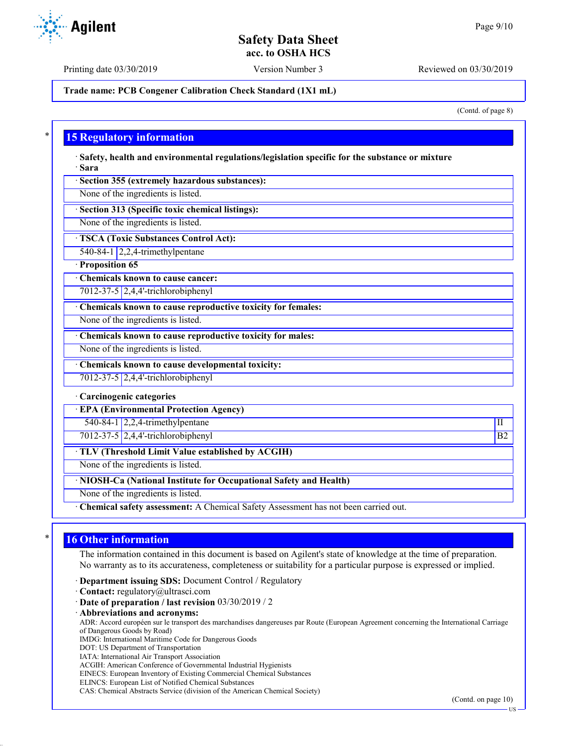Printing date 03/30/2019 Version Number 3 Reviewed on 03/30/2019

**Trade name: PCB Congener Calibration Check Standard (1X1 mL)**

(Contd. of page 8)

## **15 Regulatory information**

· **Safety, health and environmental regulations/legislation specific for the substance or mixture** · **Sara**

· **Section 355 (extremely hazardous substances):**

None of the ingredients is listed.

· **Section 313 (Specific toxic chemical listings):**

None of the ingredients is listed.

· **TSCA (Toxic Substances Control Act):**

540-84-1 2,2,4-trimethylpentane

## · **Proposition 65**

· **Chemicals known to cause cancer:** 7012-37-5 2,4,4'-trichlorobiphenyl

· **Chemicals known to cause reproductive toxicity for females:**

None of the ingredients is listed.

· **Chemicals known to cause reproductive toxicity for males:**

None of the ingredients is listed.

· **Chemicals known to cause developmental toxicity:**

7012-37-5 2,4,4'-trichlorobiphenyl

### · **Carcinogenic categories**

· **EPA (Environmental Protection Agency)**

 $540-84-1$   $2,2,4$ -trimethylpentane III

7012-37-5 2,4,4'-trichlorobiphenyl B2

· **TLV (Threshold Limit Value established by ACGIH)**

None of the ingredients is listed.

· **NIOSH-Ca (National Institute for Occupational Safety and Health)**

None of the ingredients is listed.

· **Chemical safety assessment:** A Chemical Safety Assessment has not been carried out.

# **16 Other information**

The information contained in this document is based on Agilent's state of knowledge at the time of preparation. No warranty as to its accurateness, completeness or suitability for a particular purpose is expressed or implied.

· **Department issuing SDS:** Document Control / Regulatory

· **Contact:** regulatory@ultrasci.com

· **Date of preparation / last revision** 03/30/2019 / 2

· **Abbreviations and acronyms:**

ADR: Accord européen sur le transport des marchandises dangereuses par Route (European Agreement concerning the International Carriage of Dangerous Goods by Road)

IMDG: International Maritime Code for Dangerous Goods

DOT: US Department of Transportation

IATA: International Air Transport Association

ACGIH: American Conference of Governmental Industrial Hygienists

EINECS: European Inventory of Existing Commercial Chemical Substances

ELINCS: European List of Notified Chemical Substances

CAS: Chemical Abstracts Service (division of the American Chemical Society)